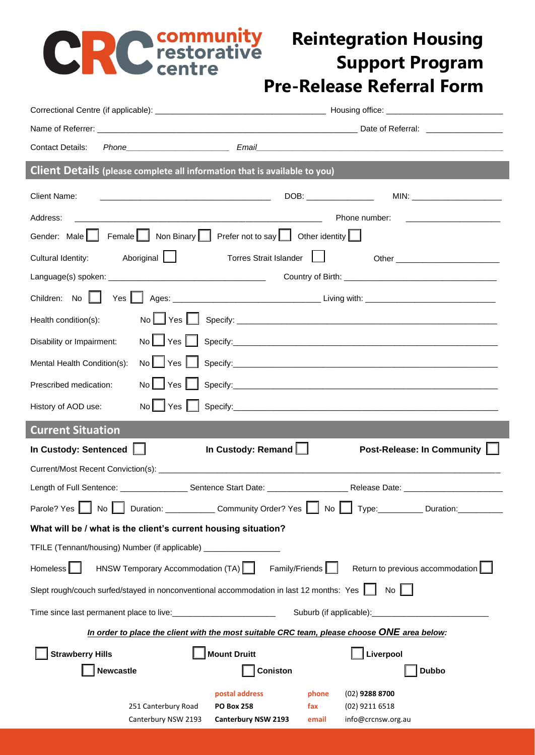## **PRC community** Reintegration Housing<br> **Pre-Release Referral Form**

## **Reintegration Housing Support Program**

| <b>Contact Details:</b>                                        |                                                                                                                 |                                                                                         |                                                                                             |  |  |  |
|----------------------------------------------------------------|-----------------------------------------------------------------------------------------------------------------|-----------------------------------------------------------------------------------------|---------------------------------------------------------------------------------------------|--|--|--|
|                                                                |                                                                                                                 | Client Details (please complete all information that is available to you)               |                                                                                             |  |  |  |
| <b>Client Name:</b>                                            |                                                                                                                 |                                                                                         | DOB: ________________                                                                       |  |  |  |
| Address:                                                       | <u> 2002 - Jan James James Barnett, amerikansk politik (d. 1888)</u><br>Phone number: _________________________ |                                                                                         |                                                                                             |  |  |  |
|                                                                |                                                                                                                 | Gender: Male Female Non Binary Prefer not to say Other identity                         |                                                                                             |  |  |  |
| Cultural Identity:                                             | Aboriginal                                                                                                      | Torres Strait Islander                                                                  |                                                                                             |  |  |  |
|                                                                |                                                                                                                 |                                                                                         |                                                                                             |  |  |  |
| Children: No                                                   |                                                                                                                 |                                                                                         |                                                                                             |  |  |  |
| Health condition(s):                                           |                                                                                                                 |                                                                                         |                                                                                             |  |  |  |
| Disability or Impairment:                                      |                                                                                                                 |                                                                                         | No Yes Specify: Specify:                                                                    |  |  |  |
| Mental Health Condition(s):                                    |                                                                                                                 |                                                                                         |                                                                                             |  |  |  |
| Prescribed medication:                                         |                                                                                                                 |                                                                                         |                                                                                             |  |  |  |
| History of AOD use:                                            | $No$ $\lvert$ Yes $\lvert$ $\lvert$                                                                             |                                                                                         |                                                                                             |  |  |  |
|                                                                |                                                                                                                 |                                                                                         |                                                                                             |  |  |  |
| <b>Current Situation</b>                                       |                                                                                                                 |                                                                                         |                                                                                             |  |  |  |
| In Custody: Sentenced                                          |                                                                                                                 | In Custody: Remand                                                                      | Post-Release: In Community                                                                  |  |  |  |
|                                                                |                                                                                                                 |                                                                                         |                                                                                             |  |  |  |
|                                                                |                                                                                                                 |                                                                                         |                                                                                             |  |  |  |
|                                                                |                                                                                                                 |                                                                                         | Parole? Yes No Nuration: Community Order? Yes No Type: Duration:                            |  |  |  |
| What will be / what is the client's current housing situation? |                                                                                                                 |                                                                                         |                                                                                             |  |  |  |
| TFILE (Tennant/housing) Number (if applicable) __________      |                                                                                                                 |                                                                                         |                                                                                             |  |  |  |
| Homeless                                                       | HNSW Temporary Accommodation (TA)                                                                               | Family/Friends                                                                          | Return to previous accommodation                                                            |  |  |  |
|                                                                |                                                                                                                 | Slept rough/couch surfed/stayed in nonconventional accommodation in last 12 months: Yes | $\mathsf{No}$                                                                               |  |  |  |
| Time since last permanent place to live:<br><u> </u>           |                                                                                                                 |                                                                                         | Suburb (if applicable):                                                                     |  |  |  |
|                                                                |                                                                                                                 |                                                                                         | In order to place the client with the most suitable CRC team, please choose ONE area below: |  |  |  |
| <b>Strawberry Hills</b>                                        |                                                                                                                 | <b>Mount Druitt</b>                                                                     | Liverpool                                                                                   |  |  |  |
| <b>Newcastle</b>                                               |                                                                                                                 | <b>Coniston</b>                                                                         | <b>Dubbo</b>                                                                                |  |  |  |
|                                                                | 251 Canterbury Road                                                                                             | postal address<br><b>PO Box 258</b><br>fax                                              | $(02)$ 9288 8700<br>phone<br>(02) 9211 6518                                                 |  |  |  |